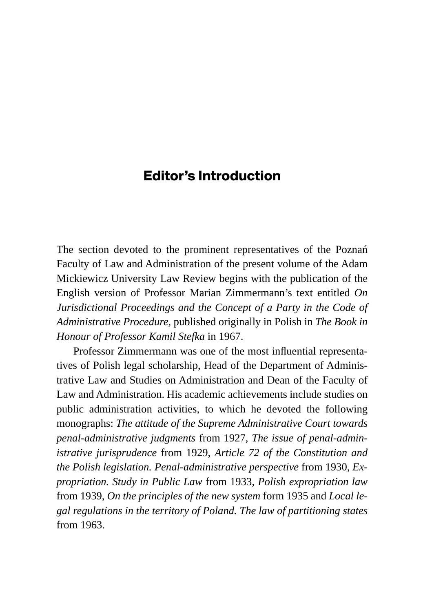## **Editor's Introduction**

The section devoted to the prominent representatives of the Poznań Faculty of Law and Administration of the present volume of the Adam Mickiewicz University Law Review begins with the publication of the English version of Professor Marian Zimmermann's text entitled *On Jurisdictional Proceedings and the Concept of a Party in the Code of Administrative Procedure*, published originally in Polish in *The Book in Honour of Professor Kamil Stefka* in 1967.

Professor Zimmermann was one of the most influential representatives of Polish legal scholarship, Head of the Department of Administrative Law and Studies on Administration and Dean of the Faculty of Law and Administration. His academic achievements include studies on public administration activities, to which he devoted the following monographs: *The attitude of the Supreme Administrative Court towards penal-administrative judgments* from 1927, *The issue of penal-administrative jurisprudence* from 1929, *Article 72 of the Constitution and the Polish legislation. Penal-administrative perspective* from 1930, *Expropriation. Study in Public Law* from 1933, *Polish expropriation law* from 1939, *On the principles of the new system* form 1935 and *Local legal regulations in the territory of Poland. The law of partitioning states* from 1963.